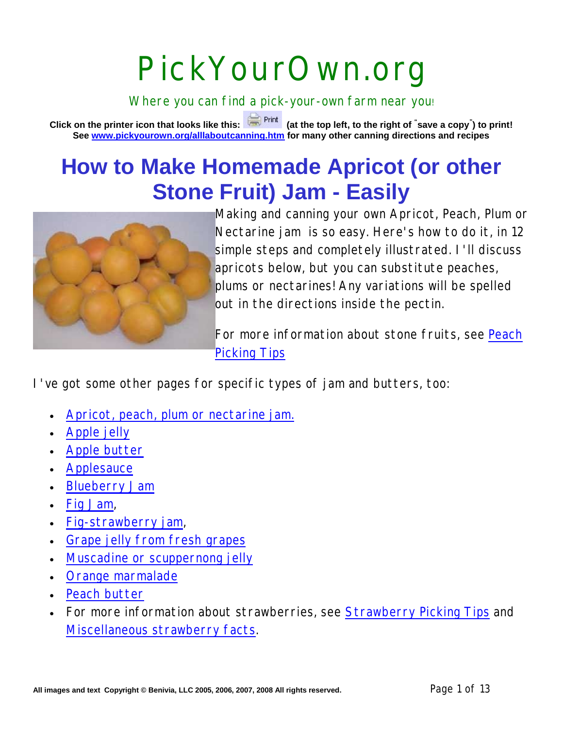# PickYourOwn.org

Where you can find a pick-your-own farm near you!

**Click on the printer icon that looks like this: (at the top left, to the right of " save a copy" ) to print! See www.pickyourown.org/alllaboutcanning.htm for many other canning directions and recipes**

## **How to Make Homemade Apricot (or other Stone Fruit) Jam - Easily**



Making and canning your own Apricot, Peach, Plum or Nectarine jam is so easy. Here's how to do it, in 12 simple steps and completely illustrated. I'll discuss apricots below, but you can substitute peaches, plums or nectarines! Any variations will be spelled out in the directions inside the pectin.

For more information about stone fruits, see Peach Picking Tips

I've got some other pages for specific types of jam and butters, too:

- Apricot, peach, plum or nectarine jam.
- Apple jelly
- Apple butter
- **Applesauce**
- **Blueberry Jam**
- Fig Jam,
- Fig-strawberry jam,
- Grape jelly from fresh grapes
- Muscadine or scuppernong jelly
- Orange marmalade
- Peach butter
- For more information about strawberries, see Strawberry Picking Tips and Miscellaneous strawberry facts.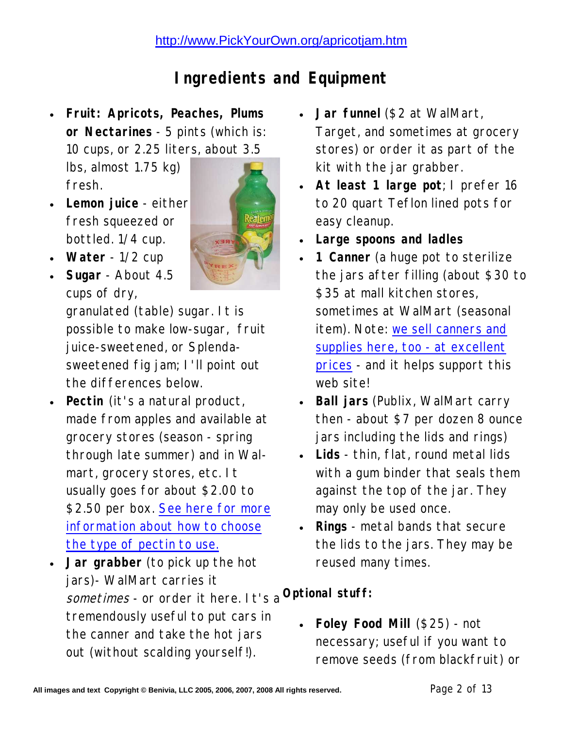## **Ingredients and Equipment**

 **Fruit: Apricots, Peaches, Plums or Nectarines** - 5 pints (which is: 10 cups, or 2.25 liters, about 3.5

lbs, almost 1.75 kg) fresh.

 **Lemon juice** - either fresh squeezed or bottled. 1/4 cup.



 **Sugar** - About 4.5 cups of dry, granulated (table) sugar. It is possible to make low-sugar, fruit

juice-sweetened, or Splendasweetened fig jam; I'll point out the differences below.

- **Pectin** (it's a natural product, made from apples and available at grocery stores (season - spring through late summer) and in Walmart, grocery stores, etc. It usually goes for about \$2.00 to \$2.50 per box. See here for more information about how to choose the type of pectin to use.
- **Jar grabber** (to pick up the hot jars)- WalMart carries it sometimes - or order it here. It's a **Optional stuff:**  tremendously useful to put cars in the canner and take the hot jars out (without scalding yourself!).
- **Jar funnel** (\$2 at WalMart, Target, and sometimes at grocery stores) or order it as part of the kit with the jar grabber.
- **At least 1 large pot**; I prefer 16 to 20 quart Teflon lined pots for easy cleanup.
- **Large spoons and ladles**
- **1 Canner** (a huge pot to sterilize the jars after filling (about \$30 to \$35 at mall kitchen stores, sometimes at WalMart (seasonal item). Note: we sell canners and supplies here, too - at excellent prices - and it helps support this web site!
- **Ball jars** (Publix, WalMart carry then - about \$7 per dozen 8 ounce jars including the lids and rings)
- **Lids** thin, flat, round metal lids with a gum binder that seals them against the top of the jar. They may only be used once.
- **Rings** metal bands that secure the lids to the jars. They may be reused many times.

 **Foley Food Mill** (\$25) - not necessary; useful if you want to remove seeds (from blackfruit) or

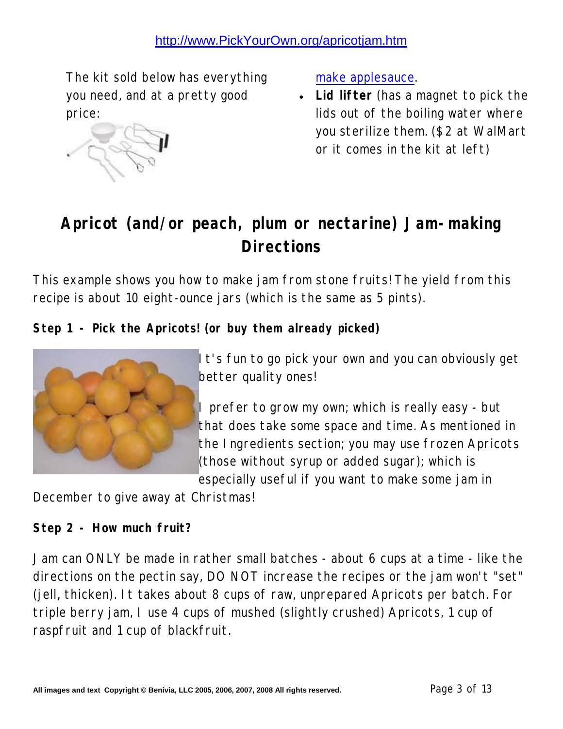The kit sold below has everything you need, and at a pretty good price:



make applesauce.

 **Lid lifter** (has a magnet to pick the lids out of the boiling water where you sterilize them. (\$2 at WalMart or it comes in the kit at left)

## **Apricot (and/or peach, plum or nectarine) Jam-making Directions**

This example shows you how to make jam from stone fruits! The yield from this recipe is about 10 eight-ounce jars (which is the same as 5 pints).

**Step 1 - Pick the Apricots! (or buy them already picked)**



It's fun to go pick your own and you can obviously get better quality ones!

I prefer to grow my own; which is really easy - but that does take some space and time. As mentioned in the Ingredients section; you may use frozen Apricots (those without syrup or added sugar); which is especially useful if you want to make some jam in

December to give away at Christmas!

**Step 2 - How much fruit?**

Jam can ONLY be made in rather small batches - about 6 cups at a time - like the directions on the pectin say, DO NOT increase the recipes or the jam won't "set" (jell, thicken). It takes about 8 cups of raw, unprepared Apricots per batch. For triple berry jam, I use 4 cups of mushed (slightly crushed) Apricots, 1 cup of raspfruit and 1 cup of blackfruit.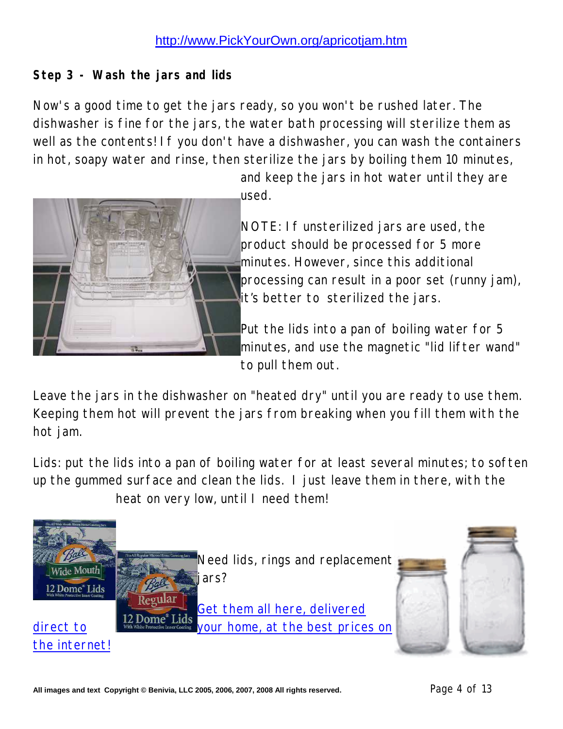**Step 3 - Wash the jars and lids**

Now's a good time to get the jars ready, so you won't be rushed later. The dishwasher is fine for the jars, the water bath processing will sterilize them as well as the contents! If you don't have a dishwasher, you can wash the containers in hot, soapy water and rinse, then sterilize the jars by boiling them 10 minutes,



and keep the jars in hot water until they are used.

NOTE: If unsterilized jars are used, the product should be processed for 5 more minutes. However, since this additional processing can result in a poor set (runny jam), it's better to sterilized the jars.

Put the lids into a pan of boiling water for 5 minutes, and use the magnetic "lid lifter wand" to pull them out.

Leave the jars in the dishwasher on "heated dry" until you are ready to use them. Keeping them hot will prevent the jars from breaking when you fill them with the hot jam.

Lids: put the lids into a pan of boiling water for at least several minutes; to soften up the gummed surface and clean the lids. I just leave them in there, with the heat on very low, until I need them!

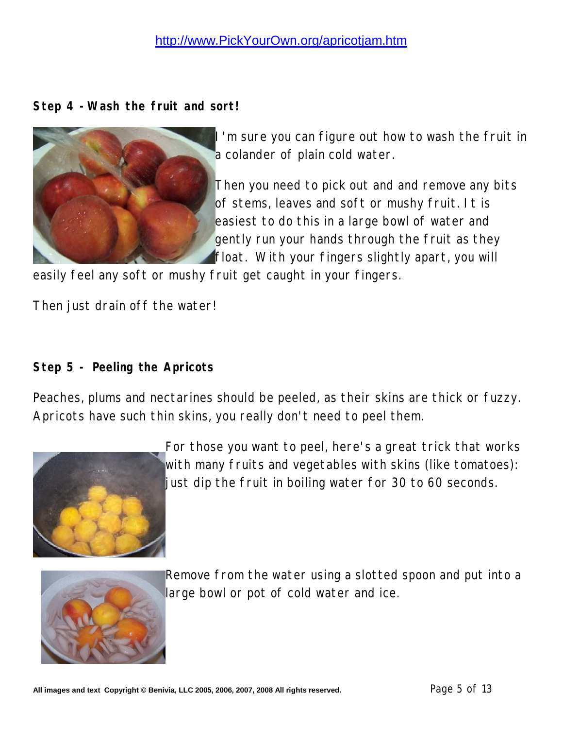**Step 4 -Wash the fruit and sort!**



I'm sure you can figure out how to wash the fruit in a colander of plain cold water.

Then you need to pick out and and remove any bits of stems, leaves and soft or mushy fruit. It is easiest to do this in a large bowl of water and gently run your hands through the fruit as they float. With your fingers slightly apart, you will

easily feel any soft or mushy fruit get caught in your fingers.

Then just drain off the water!

**Step 5 - Peeling the Apricots**

Peaches, plums and nectarines should be peeled, as their skins are thick or fuzzy. Apricots have such thin skins, you really don't need to peel them.



For those you want to peel, here's a great trick that works with many fruits and vegetables with skins (like tomatoes): just dip the fruit in boiling water for 30 to 60 seconds.



Remove from the water using a slotted spoon and put into a large bowl or pot of cold water and ice.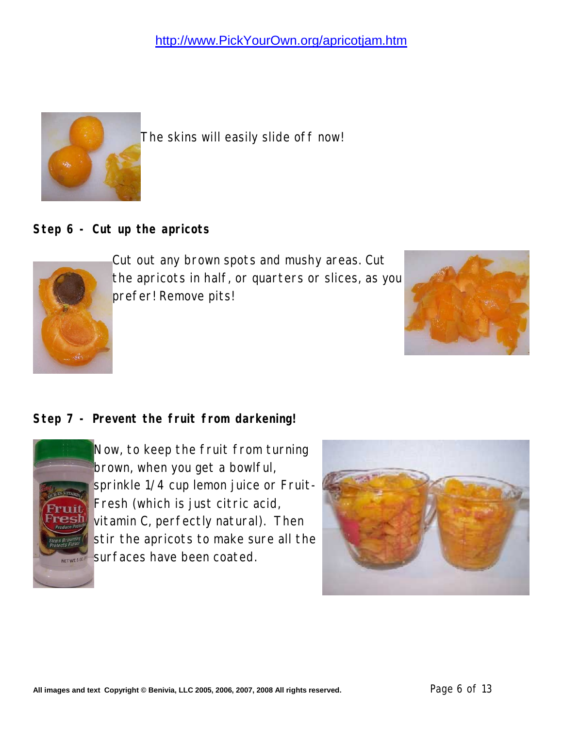

The skins will easily slide off now!

**Step 6 - Cut up the apricots**



Cut out any brown spots and mushy areas. Cut the apricots in half, or quarters or slices, as you prefer! Remove pits!



#### **Step 7 - Prevent the fruit from darkening!**



Now, to keep the fruit from turning brown, when you get a bowlful, sprinkle 1/4 cup lemon juice or Fruit-Fresh (which is just citric acid, vitamin C, perfectly natural). Then stir the apricots to make sure all the surfaces have been coated.

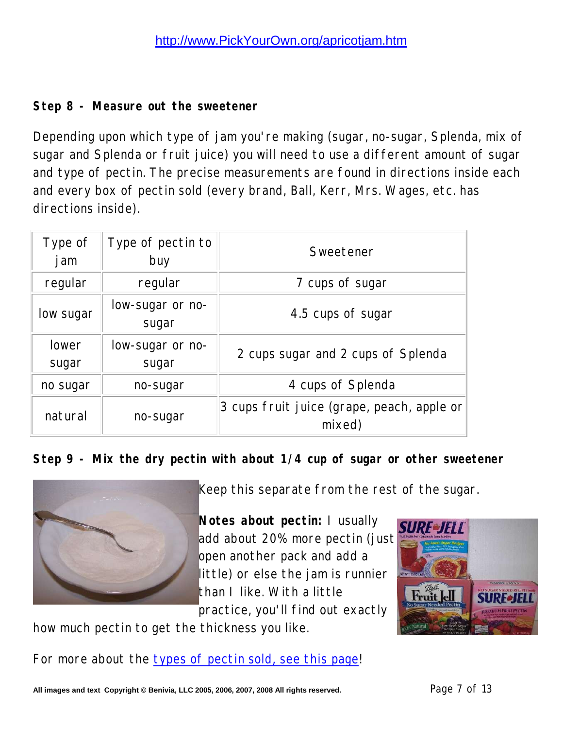#### **Step 8 - Measure out the sweetener**

Depending upon which type of jam you're making (sugar, no-sugar, Splenda, mix of sugar and Splenda or fruit juice) you will need to use a different amount of sugar and type of pectin. The precise measurements are found in directions inside each and every box of pectin sold (every brand, Ball, Kerr, Mrs. Wages, etc. has directions inside).

| Type of<br>j am | Type of pectin to<br>buy  | Sweetener                                            |  |  |
|-----------------|---------------------------|------------------------------------------------------|--|--|
| regular         | regular                   | 7 cups of sugar                                      |  |  |
| low sugar       | low-sugar or no-<br>sugar | 4.5 cups of sugar                                    |  |  |
| lower<br>sugar  | low-sugar or no-<br>sugar | 2 cups sugar and 2 cups of Splenda                   |  |  |
| no sugar        | no-sugar                  | 4 cups of Splenda                                    |  |  |
| natural         | no-sugar                  | 3 cups fruit juice (grape, peach, apple or<br>mixed) |  |  |

**Step 9 - Mix the dry pectin with about 1/4 cup of sugar or other sweetener**



Keep this separate from the rest of the sugar.

**Notes about pectin:** I usually add about 20% more pectin (just open another pack and add a little) or else the jam is runnier than I like. With a little practice, you'll find out exactly

how much pectin to get the thickness you like.

For more about the types of pectin sold, see this page!

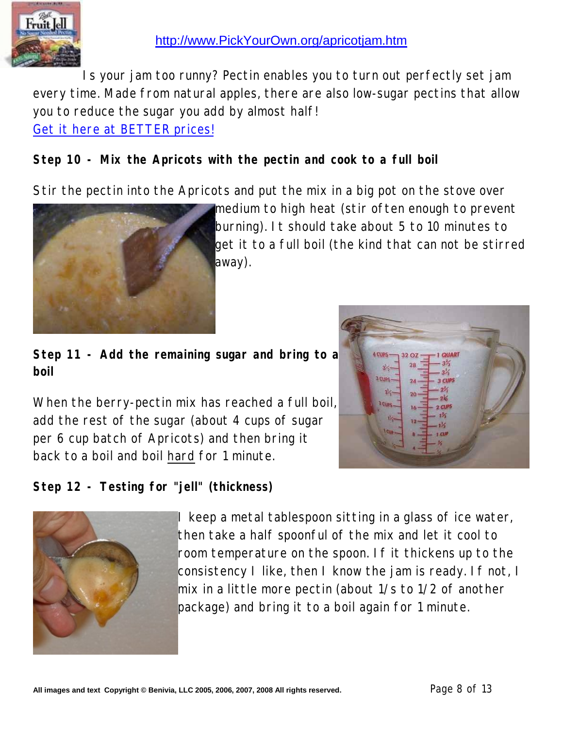

Is your jam too runny? Pectin enables you to turn out perfectly set jam every time. Made from natural apples, there are also low-sugar pectins that allow you to reduce the sugar you add by almost half! Get it here at BETTER prices!

**Step 10 - Mix the Apricots with the pectin and cook to a full boil**

Stir the pectin into the Apricots and put the mix in a big pot on the stove over



medium to high heat (stir often enough to prevent burning). It should take about 5 to 10 minutes to get it to a full boil (the kind that can not be stirred away).

**Step 11 - Add the remaining sugar and bring to a boil**

When the berry-pectin mix has reached a full boil, add the rest of the sugar (about 4 cups of sugar per 6 cup batch of Apricots) and then bring it back to a boil and boil hard for 1 minute.

**Step 12 - Testing for "jell" (thickness)**



I keep a metal tablespoon sitting in a glass of ice water, then take a half spoonful of the mix and let it cool to room temperature on the spoon. If it thickens up to the consistency I like, then I know the jam is ready. If not, I mix in a little more pectin (about 1/s to 1/2 of another package) and bring it to a boil again for 1 minute.

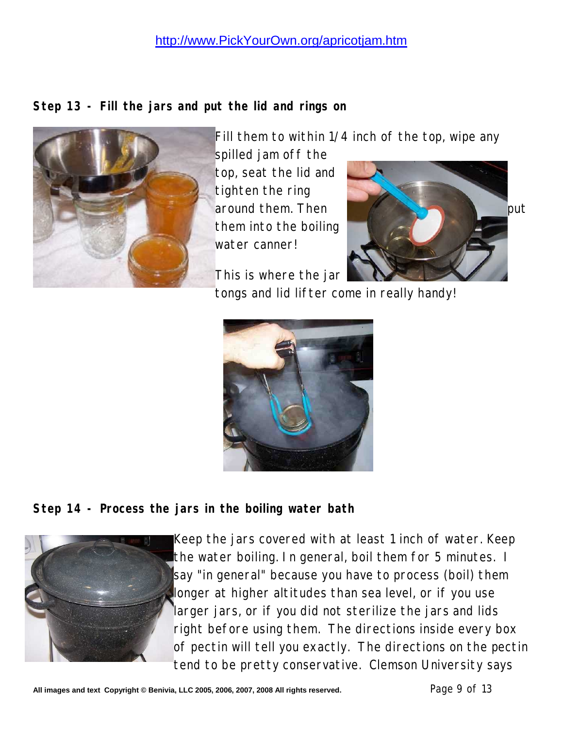**Step 13 - Fill the jars and put the lid and rings on**



Fill them to within 1/4 inch of the top, wipe any

spilled jam off the top, seat the lid and tighten the ring them into the boiling water canner!

This is where the jar





**Step 14 - Process the jars in the boiling water bath**



Keep the jars covered with at least 1 inch of water. Keep the water boiling. In general, boil them for 5 minutes. I say "in general" because you have to process (boil) them longer at higher altitudes than sea level, or if you use larger jars, or if you did not sterilize the jars and lids right before using them. The directions inside every box of pectin will tell you exactly. The directions on the pectin tend to be pretty conservative. Clemson University says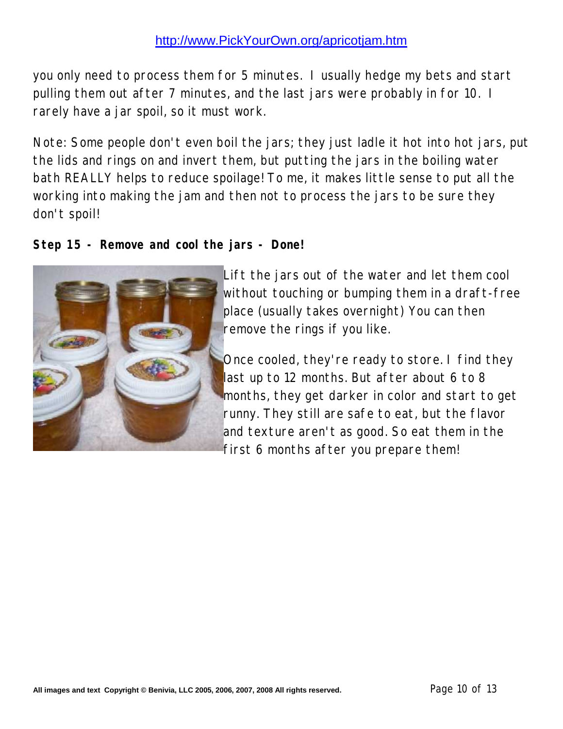you only need to process them for 5 minutes. I usually hedge my bets and start pulling them out after 7 minutes, and the last jars were probably in for 10. I rarely have a jar spoil, so it must work.

Note: Some people don't even boil the jars; they just ladle it hot into hot jars, put the lids and rings on and invert them, but putting the jars in the boiling water bath REALLY helps to reduce spoilage! To me, it makes little sense to put all the working into making the jam and then not to process the jars to be sure they don't spoil!

**Step 15 - Remove and cool the jars - Done!**



Lift the jars out of the water and let them cool without touching or bumping them in a draft-free place (usually takes overnight) You can then remove the rings if you like.

Once cooled, they're ready to store. I find they last up to 12 months. But after about 6 to 8 months, they get darker in color and start to get runny. They still are safe to eat, but the flavor and texture aren't as good. So eat them in the first 6 months after you prepare them!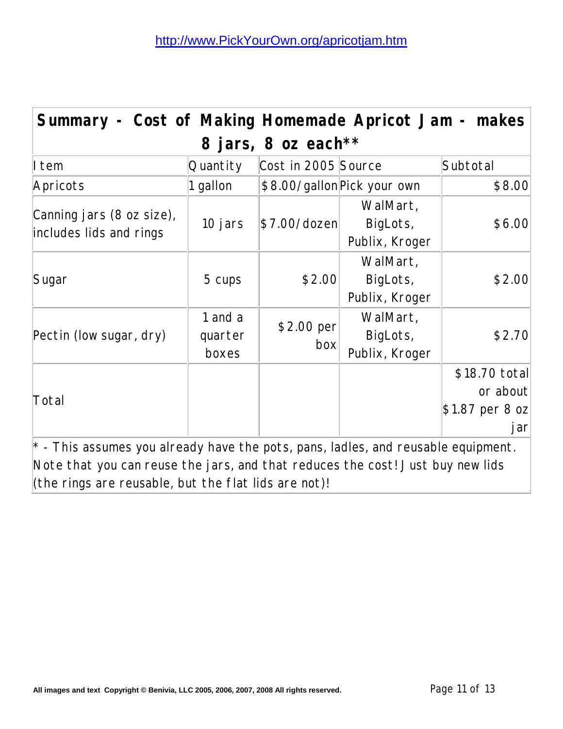| Summary - Cost of Making Homemade Apricot Jam - makes                                                                                                                       |                             |                     |                                        |                                                     |  |  |  |
|-----------------------------------------------------------------------------------------------------------------------------------------------------------------------------|-----------------------------|---------------------|----------------------------------------|-----------------------------------------------------|--|--|--|
| 8 jars, 8 oz each**                                                                                                                                                         |                             |                     |                                        |                                                     |  |  |  |
| I tem                                                                                                                                                                       | Quantity                    | Cost in 2005 Source |                                        | Subtotal                                            |  |  |  |
| Apricots                                                                                                                                                                    | 1 gallon                    |                     | \$8.00/gallon Pick your own            | \$8.00                                              |  |  |  |
| Canning jars (8 oz size),<br>includes lids and rings                                                                                                                        | 10 jars                     | \$7.00/dozen]       | WalMart,<br>BigLots,<br>Publix, Kroger | \$6.00                                              |  |  |  |
| Sugar                                                                                                                                                                       | 5 cups                      | \$2.00              | WalMart,<br>BigLots,<br>Publix, Kroger | \$2.00                                              |  |  |  |
| Pectin (low sugar, dry)                                                                                                                                                     | 1 and a<br>quarter<br>boxes | \$2.00 per<br>box   | WalMart,<br>BigLots,<br>Publix, Kroger | \$2.70                                              |  |  |  |
| Total                                                                                                                                                                       |                             |                     |                                        | \$18.70 total<br>or about<br>\$1.87 per 8 oz<br>jar |  |  |  |
| $\vert^*$ - This assumes you already have the pots, pans, ladles, and reusable equipment.<br>Note that you can reuse the jars, and that reduces the cost! Just buy new lids |                             |                     |                                        |                                                     |  |  |  |

(the rings are reusable, but the flat lids are not)!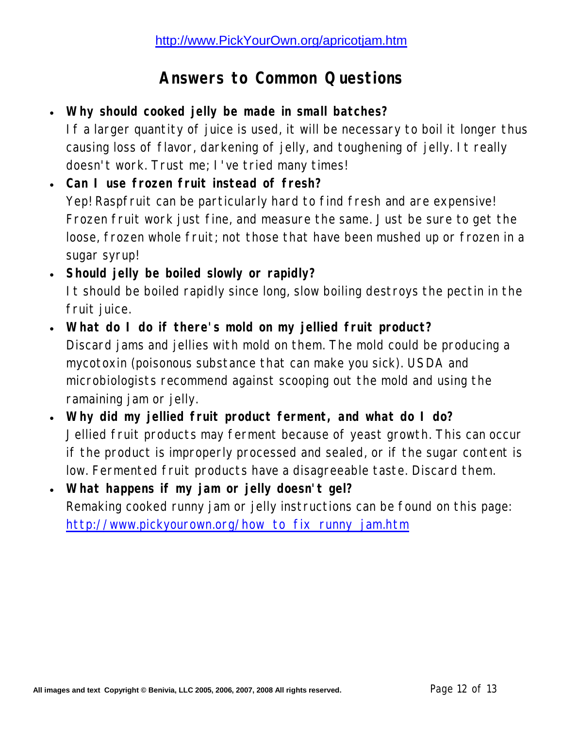### **Answers to Common Questions**

- **Why should cooked jelly be made in small batches?** If a larger quantity of juice is used, it will be necessary to boil it longer thus causing loss of flavor, darkening of jelly, and toughening of jelly. It really doesn't work. Trust me; I've tried many times!
- **Can I use frozen fruit instead of fresh?** Yep! Raspfruit can be particularly hard to find fresh and are expensive! Frozen fruit work just fine, and measure the same. Just be sure to get the loose, frozen whole fruit; not those that have been mushed up or frozen in a sugar syrup!
- **Should jelly be boiled slowly or rapidly?** It should be boiled rapidly since long, slow boiling destroys the pectin in the fruit juice.
- **What do I do if there's mold on my jellied fruit product?** Discard jams and jellies with mold on them. The mold could be producing a mycotoxin (poisonous substance that can make you sick). USDA and microbiologists recommend against scooping out the mold and using the ramaining jam or jelly.
- **Why did my jellied fruit product ferment, and what do I do?** Jellied fruit products may ferment because of yeast growth. This can occur if the product is improperly processed and sealed, or if the sugar content is low. Fermented fruit products have a disagreeable taste. Discard them.
- **What happens if my jam or jelly doesn't gel?** Remaking cooked runny jam or jelly instructions can be found on this page: http://www.pickyourown.org/how\_to\_fix\_runny\_jam.htm